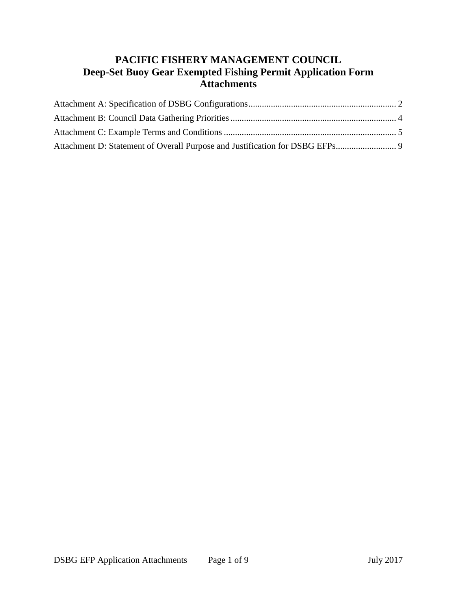# **PACIFIC FISHERY MANAGEMENT COUNCIL Deep-Set Buoy Gear Exempted Fishing Permit Application Form Attachments**

<span id="page-0-0"></span>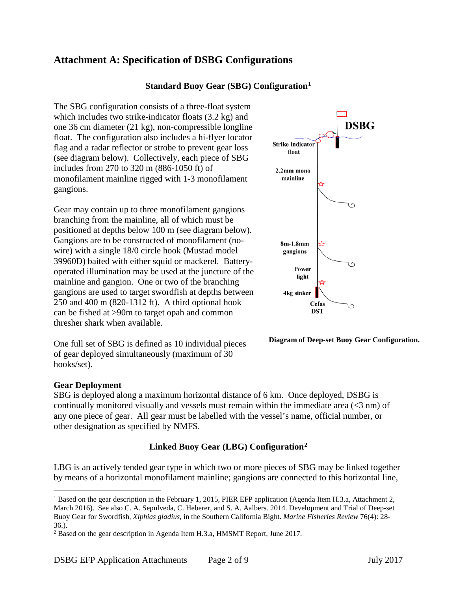# **Attachment A: Specification of DSBG Configurations**

### **Standard Buoy Gear (SBG) Configuration[1](#page-1-0)**

The SBG configuration consists of a three-float system which includes two strike-indicator floats (3.2 kg) and one 36 cm diameter (21 kg), non-compressible longline float. The configuration also includes a hi-flyer locator flag and a radar reflector or strobe to prevent gear loss (see diagram below). Collectively, each piece of SBG includes from 270 to 320 m (886-1050 ft) of monofilament mainline rigged with 1-3 monofilament gangions.

Gear may contain up to three monofilament gangions branching from the mainline, all of which must be positioned at depths below 100 m (see diagram below). Gangions are to be constructed of monofilament (nowire) with a single 18/0 circle hook (Mustad model 39960D) baited with either squid or mackerel. Batteryoperated illumination may be used at the juncture of the mainline and gangion. One or two of the branching gangions are used to target swordfish at depths between 250 and 400 m (820-1312 ft). A third optional hook can be fished at >90m to target opah and common thresher shark when available.

One full set of SBG is defined as 10 individual pieces of gear deployed simultaneously (maximum of 30 hooks/set).



**Diagram of Deep-set Buoy Gear Configuration.**

#### **Gear Deployment**

SBG is deployed along a maximum horizontal distance of 6 km. Once deployed, DSBG is continually monitored visually and vessels must remain within the immediate area (<3 nm) of any one piece of gear. All gear must be labelled with the vessel's name, official number, or other designation as specified by NMFS.

## **Linked Buoy Gear (LBG) Configuration[2](#page-1-1)**

LBG is an actively tended gear type in which two or more pieces of SBG may be linked together by means of a horizontal monofilament mainline; gangions are connected to this horizontal line,

<span id="page-1-0"></span><sup>&</sup>lt;sup>1</sup> Based on the gear description in the February 1, 2015, PIER EFP application (Agenda Item H.3.a, Attachment 2, March 2016). See also C. A. Sepulveda, C. Heberer, and S. A. Aalbers. 2014. Development and Trial of Deep-set Buoy Gear for Swordfish, *Xiphias gladius*, in the Southern California Bight. *Marine Fisheries Review* 76(4): 28- 36.).

<span id="page-1-1"></span><sup>2</sup> Based on the gear description in Agenda Item H.3.a, HMSMT Report, June 2017.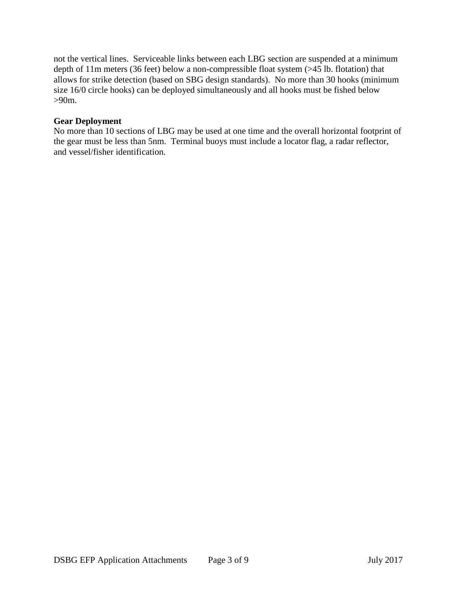not the vertical lines. Serviceable links between each LBG section are suspended at a minimum depth of 11m meters (36 feet) below a non-compressible float system (>45 lb. flotation) that allows for strike detection (based on SBG design standards). No more than 30 hooks (minimum size 16/0 circle hooks) can be deployed simultaneously and all hooks must be fished below >90m.

#### **Gear Deployment**

<span id="page-2-0"></span>No more than 10 sections of LBG may be used at one time and the overall horizontal footprint of the gear must be less than 5nm. Terminal buoys must include a locator flag, a radar reflector, and vessel/fisher identification.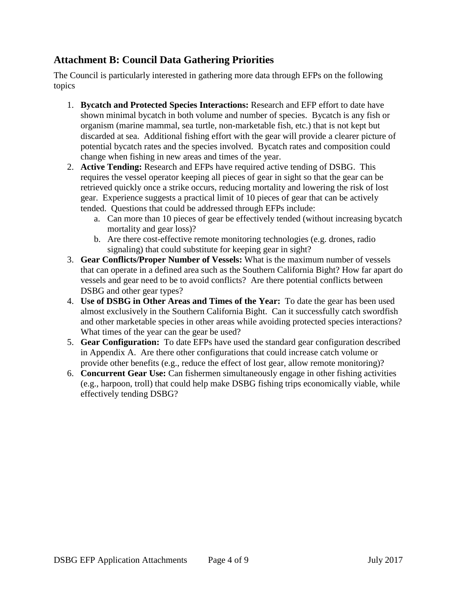## **Attachment B: Council Data Gathering Priorities**

The Council is particularly interested in gathering more data through EFPs on the following topics

- 1. **Bycatch and Protected Species Interactions:** Research and EFP effort to date have shown minimal bycatch in both volume and number of species. Bycatch is any fish or organism (marine mammal, sea turtle, non-marketable fish, etc.) that is not kept but discarded at sea. Additional fishing effort with the gear will provide a clearer picture of potential bycatch rates and the species involved. Bycatch rates and composition could change when fishing in new areas and times of the year.
- 2. **Active Tending:** Research and EFPs have required active tending of DSBG. This requires the vessel operator keeping all pieces of gear in sight so that the gear can be retrieved quickly once a strike occurs, reducing mortality and lowering the risk of lost gear. Experience suggests a practical limit of 10 pieces of gear that can be actively tended. Questions that could be addressed through EFPs include:
	- a. Can more than 10 pieces of gear be effectively tended (without increasing bycatch mortality and gear loss)?
	- b. Are there cost-effective remote monitoring technologies (e.g. drones, radio signaling) that could substitute for keeping gear in sight?
- 3. **Gear Conflicts/Proper Number of Vessels:** What is the maximum number of vessels that can operate in a defined area such as the Southern California Bight? How far apart do vessels and gear need to be to avoid conflicts? Are there potential conflicts between DSBG and other gear types?
- 4. **Use of DSBG in Other Areas and Times of the Year:** To date the gear has been used almost exclusively in the Southern California Bight. Can it successfully catch swordfish and other marketable species in other areas while avoiding protected species interactions? What times of the year can the gear be used?
- 5. **Gear Configuration:** To date EFPs have used the standard gear configuration described in Appendix A. Are there other configurations that could increase catch volume or provide other benefits (e.g., reduce the effect of lost gear, allow remote monitoring)?
- 6. **Concurrent Gear Use:** Can fishermen simultaneously engage in other fishing activities (e.g., harpoon, troll) that could help make DSBG fishing trips economically viable, while effectively tending DSBG?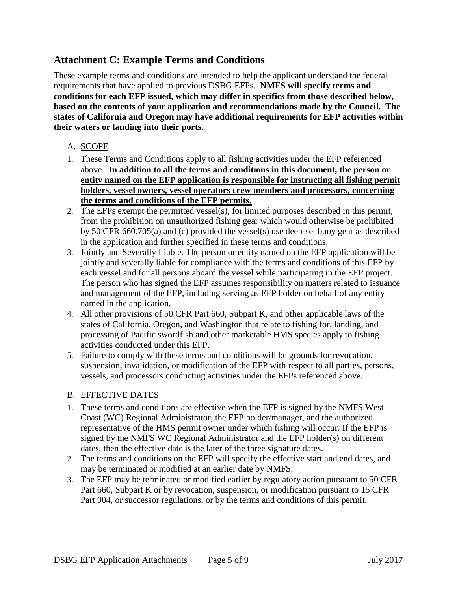## <span id="page-4-0"></span>**Attachment C: Example Terms and Conditions**

These example terms and conditions are intended to help the applicant understand the federal requirements that have applied to previous DSBG EFPs. **NMFS will specify terms and conditions for each EFP issued, which may differ in specifics from those described below, based on the contents of your application and recommendations made by the Council. The states of California and Oregon may have additional requirements for EFP activities within their waters or landing into their ports.**

## A. SCOPE

- 1. These Terms and Conditions apply to all fishing activities under the EFP referenced above. **In addition to all the terms and conditions in this document, the person or entity named on the EFP application is responsible for instructing all fishing permit holders, vessel owners, vessel operators crew members and processors, concerning the terms and conditions of the EFP permits.**
- 2. The EFPs exempt the permitted vessel(s), for limited purposes described in this permit, from the prohibition on unauthorized fishing gear which would otherwise be prohibited by 50 CFR 660.705(a) and (c) provided the vessel(s) use deep-set buoy gear as described in the application and further specified in these terms and conditions.
- 3. Jointly and Severally Liable. The person or entity named on the EFP application will be jointly and severally liable for compliance with the terms and conditions of this EFP by each vessel and for all persons aboard the vessel while participating in the EFP project. The person who has signed the EFP assumes responsibility on matters related to issuance and management of the EFP, including serving as EFP holder on behalf of any entity named in the application.
- 4. All other provisions of 50 CFR Part 660, Subpart K, and other applicable laws of the states of California, Oregon, and Washington that relate to fishing for, landing, and processing of Pacific swordfish and other marketable HMS species apply to fishing activities conducted under this EFP.
- 5. Failure to comply with these terms and conditions will be grounds for revocation, suspension, invalidation, or modification of the EFP with respect to all parties, persons, vessels, and processors conducting activities under the EFPs referenced above.

## B. EFFECTIVE DATES

- 1. These terms and conditions are effective when the EFP is signed by the NMFS West Coast (WC) Regional Administrator, the EFP holder/manager, and the authorized representative of the HMS permit owner under which fishing will occur. If the EFP is signed by the NMFS WC Regional Administrator and the EFP holder(s) on different dates, then the effective date is the later of the three signature dates.
- 2. The terms and conditions on the EFP will specify the effective start and end dates, and may be terminated or modified at an earlier date by NMFS.
- 3. The EFP may be terminated or modified earlier by regulatory action pursuant to 50 CFR Part 660, Subpart K or by revocation, suspension, or modification pursuant to 15 CFR Part 904, or successor regulations, or by the terms and conditions of this permit.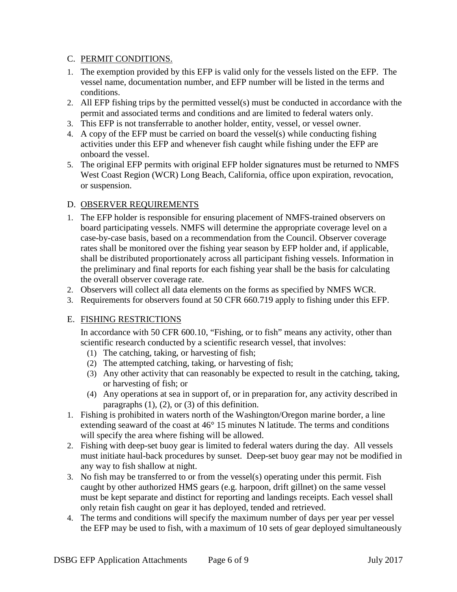### C. PERMIT CONDITIONS.

- 1. The exemption provided by this EFP is valid only for the vessels listed on the EFP. The vessel name, documentation number, and EFP number will be listed in the terms and conditions.
- 2. All EFP fishing trips by the permitted vessel(s) must be conducted in accordance with the permit and associated terms and conditions and are limited to federal waters only.
- 3. This EFP is not transferrable to another holder, entity, vessel, or vessel owner.
- 4. A copy of the EFP must be carried on board the vessel(s) while conducting fishing activities under this EFP and whenever fish caught while fishing under the EFP are onboard the vessel.
- 5. The original EFP permits with original EFP holder signatures must be returned to NMFS West Coast Region (WCR) Long Beach, California, office upon expiration, revocation, or suspension.

## D. OBSERVER REQUIREMENTS

- 1. The EFP holder is responsible for ensuring placement of NMFS-trained observers on board participating vessels. NMFS will determine the appropriate coverage level on a case-by-case basis, based on a recommendation from the Council. Observer coverage rates shall be monitored over the fishing year season by EFP holder and, if applicable, shall be distributed proportionately across all participant fishing vessels. Information in the preliminary and final reports for each fishing year shall be the basis for calculating the overall observer coverage rate.
- 2. Observers will collect all data elements on the forms as specified by NMFS WCR.
- 3. Requirements for observers found at 50 CFR 660.719 apply to fishing under this EFP.

## E. FISHING RESTRICTIONS

In accordance with 50 CFR 600.10, "Fishing, or to fish" means any activity, other than scientific research conducted by a scientific research vessel, that involves:

- (1) The catching, taking, or harvesting of fish;
- (2) The attempted catching, taking, or harvesting of fish;
- (3) Any other activity that can reasonably be expected to result in the catching, taking, or harvesting of fish; or
- (4) Any operations at sea in support of, or in preparation for, any activity described in paragraphs  $(1)$ ,  $(2)$ , or  $(3)$  of this definition.
- 1. Fishing is prohibited in waters north of the Washington/Oregon marine border, a line extending seaward of the coast at 46° 15 minutes N latitude. The terms and conditions will specify the area where fishing will be allowed.
- 2. Fishing with deep-set buoy gear is limited to federal waters during the day. All vessels must initiate haul-back procedures by sunset. Deep-set buoy gear may not be modified in any way to fish shallow at night.
- 3. No fish may be transferred to or from the vessel(s) operating under this permit. Fish caught by other authorized HMS gears (e.g. harpoon, drift gillnet) on the same vessel must be kept separate and distinct for reporting and landings receipts. Each vessel shall only retain fish caught on gear it has deployed, tended and retrieved.
- 4. The terms and conditions will specify the maximum number of days per year per vessel the EFP may be used to fish, with a maximum of 10 sets of gear deployed simultaneously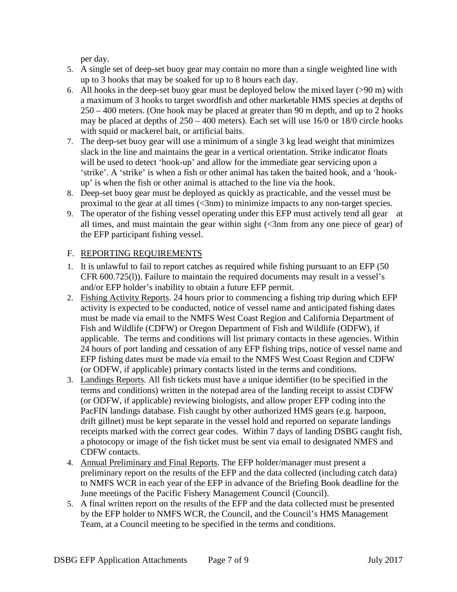per day.

- 5. A single set of deep-set buoy gear may contain no more than a single weighted line with up to 3 hooks that may be soaked for up to 8 hours each day.
- 6. All hooks in the deep-set buoy gear must be deployed below the mixed layer (>90 m) with a maximum of 3 hooks to target swordfish and other marketable HMS species at depths of 250 – 400 meters. (One hook may be placed at greater than 90 m depth, and up to 2 hooks may be placed at depths of 250 – 400 meters). Each set will use 16/0 or 18/0 circle hooks with squid or mackerel bait, or artificial baits.
- 7. The deep-set buoy gear will use a minimum of a single 3 kg lead weight that minimizes slack in the line and maintains the gear in a vertical orientation. Strike indicator floats will be used to detect 'hook-up' and allow for the immediate gear servicing upon a 'strike'. A 'strike' is when a fish or other animal has taken the baited hook, and a 'hookup' is when the fish or other animal is attached to the line via the hook.
- 8. Deep-set buoy gear must be deployed as quickly as practicable, and the vessel must be proximal to the gear at all times (<3nm) to minimize impacts to any non-target species.
- 9. The operator of the fishing vessel operating under this EFP must actively tend all gear at all times, and must maintain the gear within sight  $\ll$ 3nm from any one piece of gear) of the EFP participant fishing vessel.

## F. REPORTING REQUIREMENTS

- 1. It is unlawful to fail to report catches as required while fishing pursuant to an EFP (50 CFR 600.725(l)). Failure to maintain the required documents may result in a vessel's and/or EFP holder's inability to obtain a future EFP permit.
- 2. Fishing Activity Reports. 24 hours prior to commencing a fishing trip during which EFP activity is expected to be conducted, notice of vessel name and anticipated fishing dates must be made via email to the NMFS West Coast Region and California Department of Fish and Wildlife (CDFW) or Oregon Department of Fish and Wildlife (ODFW), if applicable. The terms and conditions will list primary contacts in these agencies. Within 24 hours of port landing and cessation of any EFP fishing trips, notice of vessel name and EFP fishing dates must be made via email to the NMFS West Coast Region and CDFW (or ODFW, if applicable) primary contacts listed in the terms and conditions.
- 3. Landings Reports. All fish tickets must have a unique identifier (to be specified in the terms and conditions) written in the notepad area of the landing receipt to assist CDFW (or ODFW, if applicable) reviewing biologists, and allow proper EFP coding into the PacFIN landings database. Fish caught by other authorized HMS gears (e.g. harpoon, drift gillnet) must be kept separate in the vessel hold and reported on separate landings receipts marked with the correct gear codes. Within 7 days of landing DSBG caught fish, a photocopy or image of the fish ticket must be sent via email to designated NMFS and CDFW contacts.
- 4. Annual Preliminary and Final Reports. The EFP holder/manager must present a preliminary report on the results of the EFP and the data collected (including catch data) to NMFS WCR in each year of the EFP in advance of the Briefing Book deadline for the June meetings of the Pacific Fishery Management Council (Council).
- 5. A final written report on the results of the EFP and the data collected must be presented by the EFP holder to NMFS WCR, the Council, and the Council's HMS Management Team, at a Council meeting to be specified in the terms and conditions.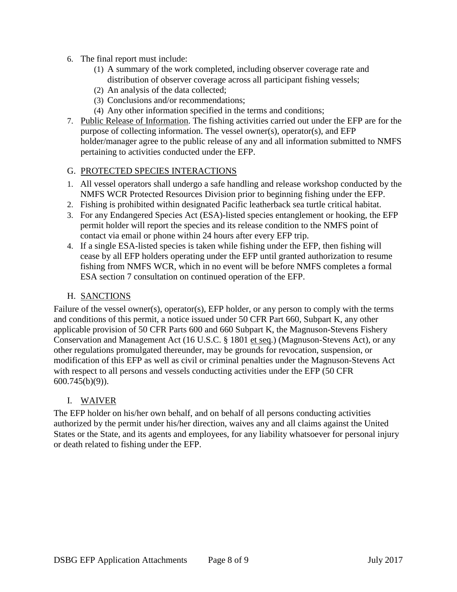- 6. The final report must include:
	- (1) A summary of the work completed, including observer coverage rate and distribution of observer coverage across all participant fishing vessels;
	- (2) An analysis of the data collected;
	- (3) Conclusions and/or recommendations;
	- (4) Any other information specified in the terms and conditions;
- 7. Public Release of Information. The fishing activities carried out under the EFP are for the purpose of collecting information. The vessel owner(s), operator(s), and EFP holder/manager agree to the public release of any and all information submitted to NMFS pertaining to activities conducted under the EFP.

### G. PROTECTED SPECIES INTERACTIONS

- 1. All vessel operators shall undergo a safe handling and release workshop conducted by the NMFS WCR Protected Resources Division prior to beginning fishing under the EFP.
- 2. Fishing is prohibited within designated Pacific leatherback sea turtle critical habitat.
- 3. For any Endangered Species Act (ESA)-listed species entanglement or hooking, the EFP permit holder will report the species and its release condition to the NMFS point of contact via email or phone within 24 hours after every EFP trip.
- 4. If a single ESA-listed species is taken while fishing under the EFP, then fishing will cease by all EFP holders operating under the EFP until granted authorization to resume fishing from NMFS WCR, which in no event will be before NMFS completes a formal ESA section 7 consultation on continued operation of the EFP.

#### H. SANCTIONS

Failure of the vessel owner(s), operator(s), EFP holder, or any person to comply with the terms and conditions of this permit, a notice issued under 50 CFR Part 660, Subpart K, any other applicable provision of 50 CFR Parts 600 and 660 Subpart K, the Magnuson-Stevens Fishery Conservation and Management Act (16 U.S.C. § 1801 et seq.) (Magnuson-Stevens Act), or any other regulations promulgated thereunder, may be grounds for revocation, suspension, or modification of this EFP as well as civil or criminal penalties under the Magnuson-Stevens Act with respect to all persons and vessels conducting activities under the EFP (50 CFR 600.745(b)(9)).

#### I. WAIVER

The EFP holder on his/her own behalf, and on behalf of all persons conducting activities authorized by the permit under his/her direction, waives any and all claims against the United States or the State, and its agents and employees, for any liability whatsoever for personal injury or death related to fishing under the EFP.